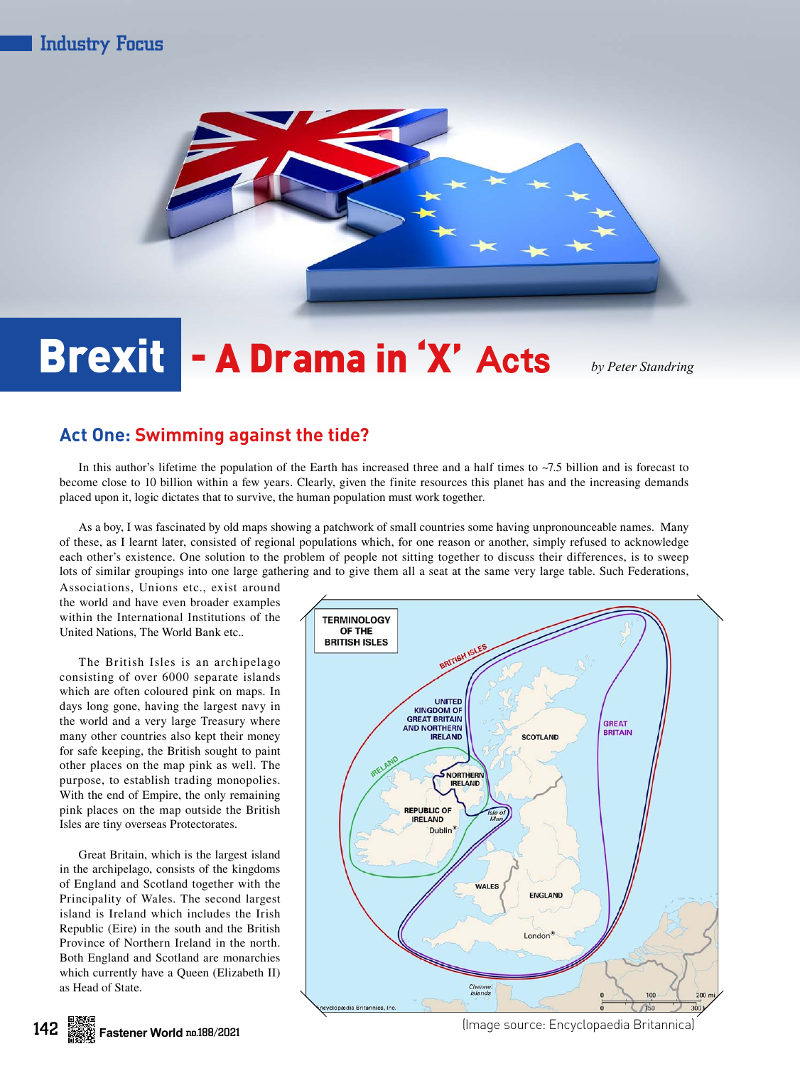

# Brexit - A Drama in 'X' Acts *by Peter Standring*

### **Act One: Swimming against the tide?**

In this author's lifetime the population of the Earth has increased three and a half times to  $\sim$ 7.5 billion and is forecast to become close to 10 billion within a few years. Clearly, given the finite resources this planet has and the increasing demands placed upon it, logic dictates that to survive, the human population must work together.

As a boy, I was fascinated by old maps showing a patchwork of small countries some having unpronounceable names. Many of these, as I learnt later, consisted of regional populations which, for one reason or another, simply refused to acknowledge each other's existence. One solution to the problem of people not sitting together to discuss their differences, is to sweep lots of similar groupings into one large gathering and to give them all a seat at the same very large table. Such Federations,

Associations, Unions etc., exist around the world and have even broader examples within the International Institutions of the United Nations, The World Bank etc..

The British Isles is an archipelago consisting of over 6000 separate islands which are often coloured pink on maps. In days long gone, having the largest navy in the world and a very large Treasury where many other countries also kept their money for safe keeping, the British sought to paint other places on the map pink as well. The purpose, to establish trading monopolies. With the end of Empire, the only remaining pink places on the map outside the British Isles are tiny overseas Protectorates.

Great Britain, which is the largest island in the archipelago, consists of the kingdoms of England and Scotland together with the Principality of Wales. The second largest island is Ireland which includes the Irish Republic (Eire) in the south and the British Province of Northern Ireland in the north. Both England and Scotland are monarchies which currently have a Queen (Elizabeth II) as Head of State.



(Image source: Encyclopaedia Britannica)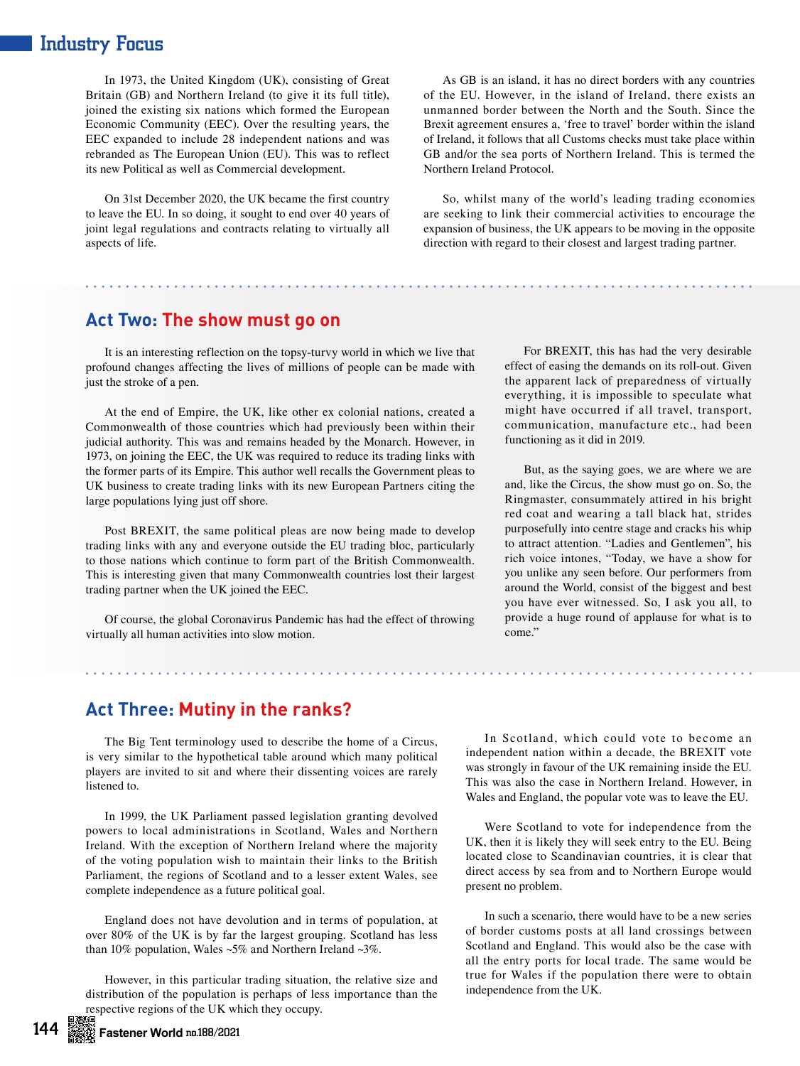In 1973, the United Kingdom (UK), consisting of Great Britain (GB) and Northern Ireland (to give it its full title), joined the existing six nations which formed the European Economic Community (EEC). Over the resulting years, the EEC expanded to include 28 independent nations and was rebranded as The European Union (EU). This was to reflect its new Political as well as Commercial development.

On 31st December 2020, the UK became the first country to leave the EU. In so doing, it sought to end over 40 years of joint legal regulations and contracts relating to virtually all aspects of life.

As GB is an island, it has no direct borders with any countries of the EU. However, in the island of Ireland, there exists an unmanned border between the North and the South. Since the Brexit agreement ensures a, 'free to travel' border within the island of Ireland, it follows that all Customs checks must take place within GB and/or the sea ports of Northern Ireland. This is termed the Northern Ireland Protocol.

So, whilst many of the world's leading trading economies are seeking to link their commercial activities to encourage the expansion of business, the UK appears to be moving in the opposite direction with regard to their closest and largest trading partner.

#### **Act Two: The show must go on**

It is an interesting reflection on the topsy-turvy world in which we live that profound changes affecting the lives of millions of people can be made with just the stroke of a pen.

At the end of Empire, the UK, like other ex colonial nations, created a Commonwealth of those countries which had previously been within their judicial authority. This was and remains headed by the Monarch. However, in 1973, on joining the EEC, the UK was required to reduce its trading links with the former parts of its Empire. This author well recalls the Government pleas to UK business to create trading links with its new European Partners citing the large populations lying just off shore.

Post BREXIT, the same political pleas are now being made to develop trading links with any and everyone outside the EU trading bloc, particularly to those nations which continue to form part of the British Commonwealth. This is interesting given that many Commonwealth countries lost their largest trading partner when the UK joined the EEC.

Of course, the global Coronavirus Pandemic has had the effect of throwing virtually all human activities into slow motion.

For BREXIT, this has had the very desirable effect of easing the demands on its roll-out. Given the apparent lack of preparedness of virtually everything, it is impossible to speculate what might have occurred if all travel, transport, communication, manufacture etc., had been functioning as it did in 2019.

But, as the saying goes, we are where we are and, like the Circus, the show must go on. So, the Ringmaster, consummately attired in his bright red coat and wearing a tall black hat, strides purposefully into centre stage and cracks his whip to attract attention. "Ladies and Gentlemen", his rich voice intones, "Today, we have a show for you unlike any seen before. Our performers from around the World, consist of the biggest and best you have ever witnessed. So, I ask you all, to provide a huge round of applause for what is to come."

## **Act Three: Mutiny in the ranks?**

The Big Tent terminology used to describe the home of a Circus, is very similar to the hypothetical table around which many political players are invited to sit and where their dissenting voices are rarely listened to.

In 1999, the UK Parliament passed legislation granting devolved powers to local administrations in Scotland, Wales and Northern Ireland. With the exception of Northern Ireland where the majority of the voting population wish to maintain their links to the British Parliament, the regions of Scotland and to a lesser extent Wales, see complete independence as a future political goal.

England does not have devolution and in terms of population, at over 80% of the UK is by far the largest grouping. Scotland has less than 10% population, Wales ~5% and Northern Ireland ~3%.

However, in this particular trading situation, the relative size and distribution of the population is perhaps of less importance than the respective regions of the UK which they occupy.

In Scotland, which could vote to become an independent nation within a decade, the BREXIT vote was strongly in favour of the UK remaining inside the EU. This was also the case in Northern Ireland. However, in Wales and England, the popular vote was to leave the EU.

Were Scotland to vote for independence from the UK, then it is likely they will seek entry to the EU. Being located close to Scandinavian countries, it is clear that direct access by sea from and to Northern Europe would present no problem.

In such a scenario, there would have to be a new series of border customs posts at all land crossings between Scotland and England. This would also be the case with all the entry ports for local trade. The same would be true for Wales if the population there were to obtain independence from the UK.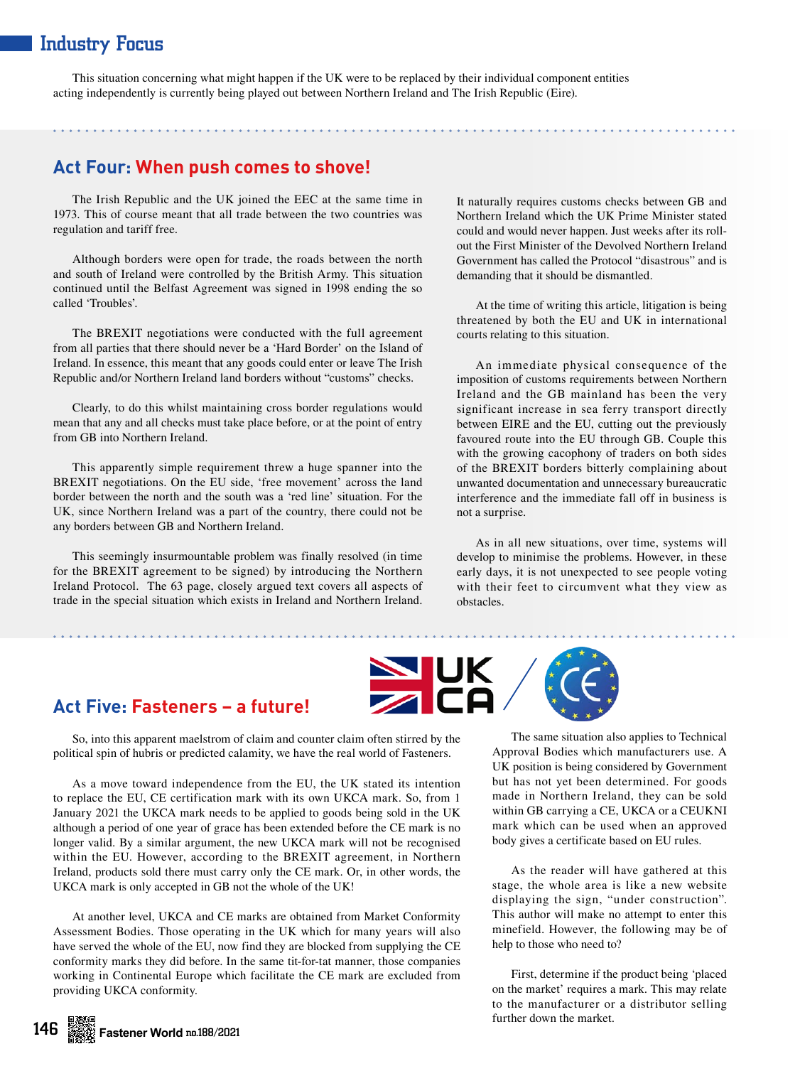This situation concerning what might happen if the UK were to be replaced by their individual component entities acting independently is currently being played out between Northern Ireland and The Irish Republic (Eire).

#### **Act Four: When push comes to shove!**

The Irish Republic and the UK joined the EEC at the same time in 1973. This of course meant that all trade between the two countries was regulation and tariff free.

Although borders were open for trade, the roads between the north and south of Ireland were controlled by the British Army. This situation continued until the Belfast Agreement was signed in 1998 ending the so called 'Troubles'.

The BREXIT negotiations were conducted with the full agreement from all parties that there should never be a 'Hard Border' on the Island of Ireland. In essence, this meant that any goods could enter or leave The Irish Republic and/or Northern Ireland land borders without "customs" checks.

Clearly, to do this whilst maintaining cross border regulations would mean that any and all checks must take place before, or at the point of entry from GB into Northern Ireland.

This apparently simple requirement threw a huge spanner into the BREXIT negotiations. On the EU side, 'free movement' across the land border between the north and the south was a 'red line' situation. For the UK, since Northern Ireland was a part of the country, there could not be any borders between GB and Northern Ireland.

This seemingly insurmountable problem was finally resolved (in time for the BREXIT agreement to be signed) by introducing the Northern Ireland Protocol. The 63 page, closely argued text covers all aspects of trade in the special situation which exists in Ireland and Northern Ireland.

a dia anala anala anala anala anala

It naturally requires customs checks between GB and Northern Ireland which the UK Prime Minister stated could and would never happen. Just weeks after its rollout the First Minister of the Devolved Northern Ireland Government has called the Protocol "disastrous" and is demanding that it should be dismantled.

At the time of writing this article, litigation is being threatened by both the EU and UK in international courts relating to this situation.

An immediate physical consequence of the imposition of customs requirements between Northern Ireland and the GB mainland has been the very significant increase in sea ferry transport directly between EIRE and the EU, cutting out the previously favoured route into the EU through GB. Couple this with the growing cacophony of traders on both sides of the BREXIT borders bitterly complaining about unwanted documentation and unnecessary bureaucratic interference and the immediate fall off in business is not a surprise.

As in all new situations, over time, systems will develop to minimise the problems. However, in these early days, it is not unexpected to see people voting with their feet to circumvent what they view as obstacles.



#### **Act Five: Fasteners – a future!**

So, into this apparent maelstrom of claim and counter claim often stirred by the political spin of hubris or predicted calamity, we have the real world of Fasteners.

**Andrew Architect** 

As a move toward independence from the EU, the UK stated its intention to replace the EU, CE certification mark with its own UKCA mark. So, from 1 January 2021 the UKCA mark needs to be applied to goods being sold in the UK although a period of one year of grace has been extended before the CE mark is no longer valid. By a similar argument, the new UKCA mark will not be recognised within the EU. However, according to the BREXIT agreement, in Northern Ireland, products sold there must carry only the CE mark. Or, in other words, the UKCA mark is only accepted in GB not the whole of the UK!

At another level, UKCA and CE marks are obtained from Market Conformity Assessment Bodies. Those operating in the UK which for many years will also have served the whole of the EU, now find they are blocked from supplying the CE conformity marks they did before. In the same tit-for-tat manner, those companies working in Continental Europe which facilitate the CE mark are excluded from providing UKCA conformity.

The same situation also applies to Technical Approval Bodies which manufacturers use. A UK position is being considered by Government but has not yet been determined. For goods made in Northern Ireland, they can be sold within GB carrying a CE, UKCA or a CEUKNI mark which can be used when an approved body gives a certificate based on EU rules.

As the reader will have gathered at this stage, the whole area is like a new website displaying the sign, "under construction". This author will make no attempt to enter this minefield. However, the following may be of help to those who need to?

First, determine if the product being 'placed on the market' requires a mark. This may relate to the manufacturer or a distributor selling further down the market.